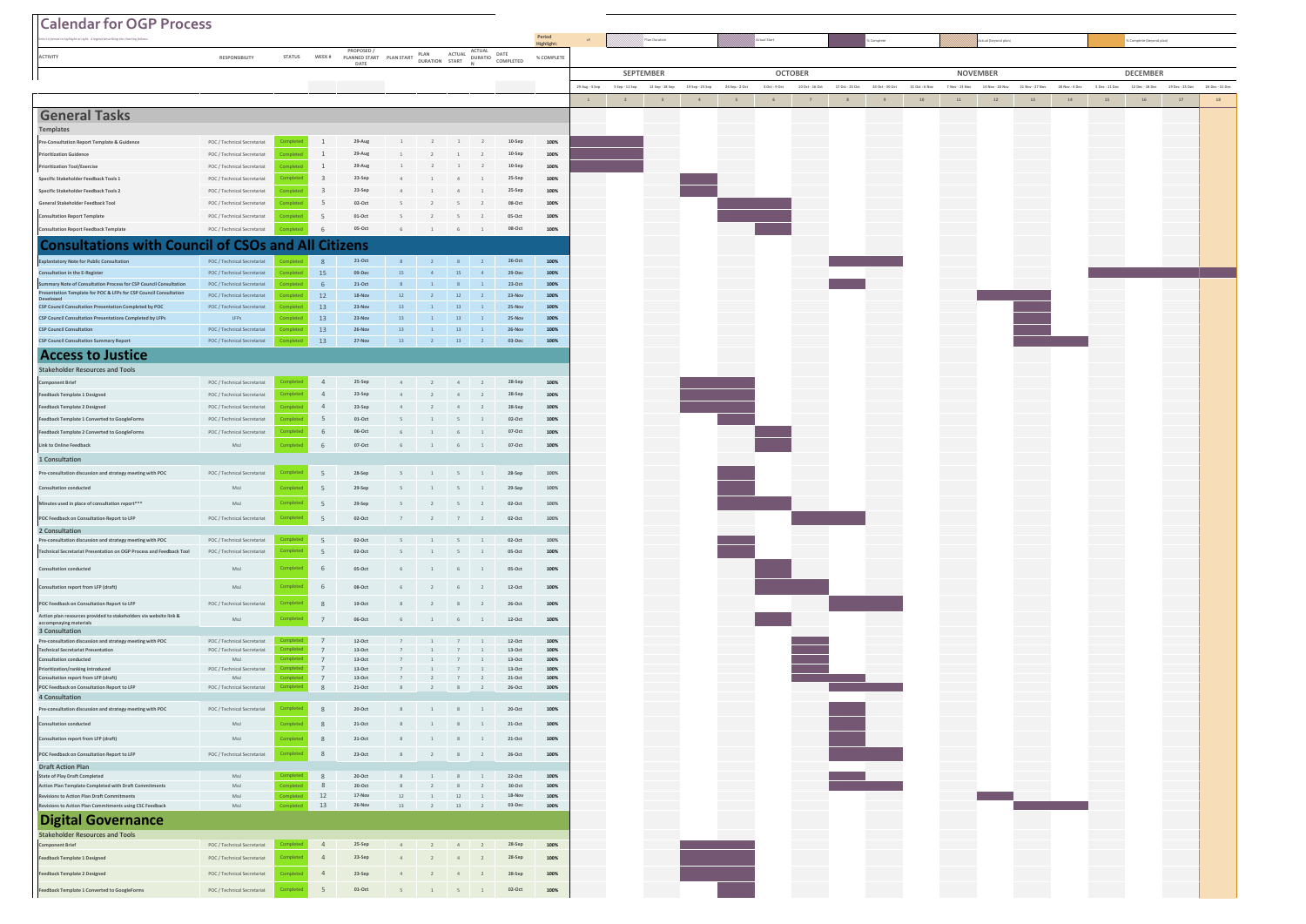| <b>Calendar for OGP Process</b>                                                                                                        |                                                            |                       |                |                                                        |              |                                                                                                     |                |                                  |                                  |              |                |   |                                  |                 |                |                   |                 |                 |                 |                |        |                                |                 |                |                  |                          |                 |                |
|----------------------------------------------------------------------------------------------------------------------------------------|------------------------------------------------------------|-----------------------|----------------|--------------------------------------------------------|--------------|-----------------------------------------------------------------------------------------------------|----------------|----------------------------------|----------------------------------|--------------|----------------|---|----------------------------------|-----------------|----------------|-------------------|-----------------|-----------------|-----------------|----------------|--------|--------------------------------|-----------------|----------------|------------------|--------------------------|-----------------|----------------|
|                                                                                                                                        |                                                            |                       |                |                                                        |              |                                                                                                     |                |                                  |                                  | Period       |                |   | //// <sup>pl</sup> ian Duration  |                 |                |                   |                 |                 |                 |                |        | I (beyond plan                 |                 |                |                  | % Complete (beyond plan) |                 |                |
| <b>ACTIVITY</b>                                                                                                                        | RESPONSIBILITY                                             | <b>STATUS</b>         | WEEK #         | PROPOSED /<br>PROPOSED / PLAN START PLAN ALLOW<br>DATE |              |                                                                                                     | ACTUAL         |                                  | ACTUAL DATE<br>DURATIO COMPLETED | % COMPLETE   |                |   |                                  |                 |                |                   |                 |                 |                 |                |        |                                |                 |                |                  |                          |                 |                |
|                                                                                                                                        |                                                            |                       |                |                                                        |              |                                                                                                     |                |                                  |                                  |              |                |   | SEPTEMBER                        |                 |                |                   | <b>OCTOBER</b>  |                 |                 |                |        | <b>NOVEMBER</b>                |                 |                |                  |                          |                 |                |
|                                                                                                                                        |                                                            |                       |                |                                                        |              |                                                                                                     |                |                                  |                                  |              | 29 Aug - 4 Sep |   | 5 Sep - 11 Sep - 12 Sep - 18 Sep | 19 Sep - 25 Sep | 26 Sep - 2 Oct | $3$ Oct - $9$ Oct | 10 Oct - 16 Oct | 17 Oct - 23 Oct | 24 Oct - 30 Oct | 31 Oct - 6 Nov |        | 7 Nov - 13 Nov 14 Nov - 20 Nov | 21 Nov - 27 Nov | 28 Nov - 4 Dec | $5 Dec - 11 Dec$ | 12 Dec - 18 Dec          | 19 Dec - 25 Dec | 26 Dec - 31 De |
|                                                                                                                                        |                                                            |                       |                |                                                        |              |                                                                                                     |                |                                  |                                  |              | $\,$ 1 $\,$    | 2 | 3                                | $4 -$           | $5 -$          | 6                 | 7               | 8               | 9               | $10$           | $11\,$ | $12\,$                         | 13              | $14\,$         | $15\,$           | $16\,$                   | 17              | 18             |
| <b>General Tasks</b>                                                                                                                   |                                                            |                       |                |                                                        |              |                                                                                                     |                |                                  |                                  |              |                |   |                                  |                 |                |                   |                 |                 |                 |                |        |                                |                 |                |                  |                          |                 |                |
| Templates                                                                                                                              |                                                            |                       |                |                                                        |              |                                                                                                     |                |                                  |                                  |              |                |   |                                  |                 |                |                   |                 |                 |                 |                |        |                                |                 |                |                  |                          |                 |                |
| Pre-Consultation Report Template & Guidence<br><b>Prioritization Guidence</b>                                                          | POC / Technical Secretariat<br>POC / Technical Secretariat |                       | $1\,$<br>1     | 29-Aug<br>29-Aug                                       |              |                                                                                                     |                |                                  | $10-Sep$<br>$10-Sep$             | 100%<br>100% |                |   |                                  |                 |                |                   |                 |                 |                 |                |        |                                |                 |                |                  |                          |                 |                |
| <b>Prioritization Tool/Exercise</b>                                                                                                    | POC / Technical Secretariat                                |                       | $\,$ 1         | 29-Aug                                                 |              |                                                                                                     |                |                                  | 10-Sep                           | 100%         |                |   |                                  |                 |                |                   |                 |                 |                 |                |        |                                |                 |                |                  |                          |                 |                |
| Specific Stakeholder Feedback Tools 1                                                                                                  | POC / Technical Secretariat                                |                       | $\overline{3}$ | 23-Sep                                                 |              |                                                                                                     |                |                                  | 25-Sep                           | 100%         |                |   |                                  |                 |                |                   |                 |                 |                 |                |        |                                |                 |                |                  |                          |                 |                |
| Specific Stakeholder Feedback Tools 2                                                                                                  | POC / Technical Secretariat                                | mplete                | $\overline{3}$ | 23-Sep                                                 |              | 1                                                                                                   | 4              |                                  | 25-Sep                           | 100%         |                |   |                                  |                 |                |                   |                 |                 |                 |                |        |                                |                 |                |                  |                          |                 |                |
| General Stakeholder Feedback Tool                                                                                                      | POC / Technical Secretariat                                | omplete               | 5              | 02-Oct                                                 |              |                                                                                                     |                |                                  | 08-Oct                           | 100%         |                |   |                                  |                 |                |                   |                 |                 |                 |                |        |                                |                 |                |                  |                          |                 |                |
| <b>Consultation Report Template</b>                                                                                                    | POC / Technical Secretariat                                | omplete               | 5              | $01-Oct$                                               |              | $\overline{2}$                                                                                      |                |                                  | 05-Oct                           | 100%         |                |   |                                  |                 |                |                   |                 |                 |                 |                |        |                                |                 |                |                  |                          |                 |                |
| <b>Consultation Report Feedback Template</b>                                                                                           | POC / Technical Secretariat                                |                       | 6              | 05-Oct                                                 | 6            | 1                                                                                                   | 6              | 1                                | 08-Oct                           | 100%         |                |   |                                  |                 |                |                   |                 |                 |                 |                |        |                                |                 |                |                  |                          |                 |                |
| <b>Consultations with Council of CSOs and All Citizens</b>                                                                             |                                                            |                       |                |                                                        |              |                                                                                                     |                |                                  |                                  |              |                |   |                                  |                 |                |                   |                 |                 |                 |                |        |                                |                 |                |                  |                          |                 |                |
| <b>Explantatory Note for Public Consultation</b>                                                                                       | POC / Technical Secretariat                                |                       | $\mathcal{R}$  | $21\mathord{\cdot} \mathsf{Oct}$                       |              | $8$ 2 8 2                                                                                           |                |                                  | $26-Oct$                         | 100%         |                |   |                                  |                 |                |                   |                 |                 |                 |                |        |                                |                 |                |                  |                          |                 |                |
| Consultation in the E-Register                                                                                                         | POC / Technical Secretariat                                |                       | 15             | 09-Dec                                                 | 15           | 4                                                                                                   | 15             | $\overline{4}$                   | 29-Dec                           | 100%         |                |   |                                  |                 |                |                   |                 |                 |                 |                |        |                                |                 |                |                  |                          |                 |                |
| Summary Note of Consultation Process for CSP Council Consultation<br>Presentation Template for POC & LFPs for CSP Council Consultation | POC / Technical Secretariat<br>POC / Technical Secretariat | omplete               | 6<br>12        | $21\text{-}Oct$<br>$18 - Nov$                          | 8<br>12      | $\mathbf{1}$                                                                                        | 8<br>12        | $\overline{1}$                   | $23-Oct$<br>23-Nov               | 100%<br>100% |                |   |                                  |                 |                |                   |                 |                 |                 |                |        |                                |                 |                |                  |                          |                 |                |
| CSP Council Consultation Presentation Completed by POC                                                                                 | POC / Technical Secretariat                                |                       | 13             | 23-Nov                                                 | 13           | $1\,$                                                                                               | 13             | $\overline{1}$                   | 25-Nov                           | 100%         |                |   |                                  |                 |                |                   |                 |                 |                 |                |        |                                |                 |                |                  |                          |                 |                |
| CSP Council Consultation Presentations Completed by LFP                                                                                | LFPs                                                       |                       | 13             | 23-Nov                                                 | 13           |                                                                                                     | 13             |                                  | 25-Nov                           | 100%         |                |   |                                  |                 |                |                   |                 |                 |                 |                |        |                                |                 |                |                  |                          |                 |                |
| <b>CSP Council Consultation</b>                                                                                                        | POC / Technical Secretariat                                | mplete                | 13             | 26-Nov<br>27-Nov                                       | 13           | $1\,$                                                                                               | 13             | $\overline{2}$                   | 26-Nov<br>$03 - Dec$             | 100%         |                |   |                                  |                 |                |                   |                 |                 |                 |                |        |                                |                 |                |                  |                          |                 |                |
| <b>CSP Council Consultation Summary Report</b>                                                                                         | POC / Technical Secretariat                                |                       | 13             |                                                        | 13           | 2                                                                                                   | 13             |                                  |                                  | 100%         |                |   |                                  |                 |                |                   |                 |                 |                 |                |        |                                |                 |                |                  |                          |                 |                |
| <b>Access to Justice</b>                                                                                                               |                                                            |                       |                |                                                        |              |                                                                                                     |                |                                  |                                  |              |                |   |                                  |                 |                |                   |                 |                 |                 |                |        |                                |                 |                |                  |                          |                 |                |
| <b>Stakeholder Resources and Tools</b><br>Component Brief                                                                              | POC / Technical Secretariat                                | omplete               | $\overline{4}$ | 25-Sep                                                 |              | 2                                                                                                   | 4              |                                  | 28-Sep                           | 100%         |                |   |                                  |                 |                |                   |                 |                 |                 |                |        |                                |                 |                |                  |                          |                 |                |
| Feedback Template 1 Designed                                                                                                           | POC / Technical Secretariat                                |                       | $\overline{4}$ | 23-Sep                                                 |              |                                                                                                     |                |                                  | 28-Sep                           | 100%         |                |   |                                  |                 |                |                   |                 |                 |                 |                |        |                                |                 |                |                  |                          |                 |                |
| Feedback Template 2 Designed                                                                                                           | POC / Technical Secretariat                                |                       | $\overline{4}$ | 23-Sep                                                 |              |                                                                                                     |                |                                  | 28-Sep                           | 100%         |                |   |                                  |                 |                |                   |                 |                 |                 |                |        |                                |                 |                |                  |                          |                 |                |
| Feedback Template 1 Converted to GoogleForms                                                                                           | POC / Technical Secretariat                                | omplete               | 5              | $01\text{-}Oct$                                        |              | $\mathbf{1}$                                                                                        |                |                                  | 02-Oct                           | 100%         |                |   |                                  |                 |                |                   |                 |                 |                 |                |        |                                |                 |                |                  |                          |                 |                |
| Feedback Template 2 Converted to GoogleForms                                                                                           | POC / Technical Secretariat                                | omplete               | 6              | 06-Oct                                                 |              | $1\,$                                                                                               | 6              | $\mathbf{1}$                     | 07-Oct                           | 100%         |                |   |                                  |                 |                |                   |                 |                 |                 |                |        |                                |                 |                |                  |                          |                 |                |
| Link to Online Feedback                                                                                                                | MoJ                                                        | omplete               | 6              | 07-Oct                                                 | 6            | 1                                                                                                   | 6              | $\overline{1}$                   | 07-Oct                           | 100%         |                |   |                                  |                 |                |                   |                 |                 |                 |                |        |                                |                 |                |                  |                          |                 |                |
| 1 Consultation                                                                                                                         |                                                            |                       |                |                                                        |              |                                                                                                     |                |                                  |                                  |              |                |   |                                  |                 |                |                   |                 |                 |                 |                |        |                                |                 |                |                  |                          |                 |                |
| Pre-consultation discussion and strategy meeting with POC                                                                              | POC / Technical Secretariat                                | omplete               | 5              | 28-Sep                                                 | 5            | 1                                                                                                   | 5              |                                  | 28-Sep                           | 100%         |                |   |                                  |                 |                |                   |                 |                 |                 |                |        |                                |                 |                |                  |                          |                 |                |
| Consultation conducted                                                                                                                 | MoJ                                                        | ompleti               | 5              | 29-Sep                                                 | 5            | $\overline{1}$                                                                                      | 5              | $\mathbf{1}$                     | 29-Sep                           | 100%         |                |   |                                  |                 |                |                   |                 |                 |                 |                |        |                                |                 |                |                  |                          |                 |                |
| Minutes used in place of consultation report**                                                                                         | MoJ                                                        | Completed             | $\overline{5}$ | 29-Sep                                                 | 5            | $\overline{2}$                                                                                      | $5 -$          | $\overline{2}$                   | 02-Oct                           | 100%         |                |   |                                  |                 |                |                   |                 |                 |                 |                |        |                                |                 |                |                  |                          |                 |                |
| POC Feedback on Consultation Report to LFP                                                                                             | POC / Technical Secretariat                                | <b>Completed</b>      | 5              | $02\text{-}Oct$                                        | 7            | $\overline{\phantom{a}}$ $\overline{\phantom{a}}$ $\overline{\phantom{a}}$ $\overline{\phantom{a}}$ | 7 <sup>7</sup> | $\overline{2}$                   | $02-Oct$                         | $100\%$      |                |   |                                  |                 |                |                   |                 |                 |                 |                |        |                                |                 |                |                  |                          |                 |                |
| 2 Consultation                                                                                                                         |                                                            |                       |                |                                                        |              |                                                                                                     |                |                                  |                                  |              |                |   |                                  |                 |                |                   |                 |                 |                 |                |        |                                |                 |                |                  |                          |                 |                |
| Pre-consultation discussion and strategy meeting with POC<br>Technical Secretariat Presentation on OGP Process and Feedback Tool       | POC / Technical Secretariat<br>POC / Technical Secretariat | Completed             | 5<br>5         | $02-Oct$<br>02-Oct                                     | $5 -$        | $1 \quad 5 \quad 1$<br>1                                                                            | 5              |                                  | 02-Oct<br>05-Oct                 | 100%<br>100% |                |   |                                  |                 |                |                   |                 |                 |                 |                |        |                                |                 |                |                  |                          |                 |                |
|                                                                                                                                        |                                                            |                       |                |                                                        |              |                                                                                                     |                |                                  |                                  |              |                |   |                                  |                 |                |                   |                 |                 |                 |                |        |                                |                 |                |                  |                          |                 |                |
| <b>Consultation conducted</b>                                                                                                          | MoJ                                                        | omplete               | 6              | 05-Oct                                                 | 6            | 1                                                                                                   |                | $6 \t 1$                         | 05-Oct                           | 100%         |                |   |                                  |                 |                |                   |                 |                 |                 |                |        |                                |                 |                |                  |                          |                 |                |
| Consultation report from LFP (draft)                                                                                                   | MoJ                                                        | ompleti               | 6              | 08-Oct                                                 | 6            | $\overline{2}$                                                                                      | 6              | $\overline{2}$                   | $12-Oct$                         | 100%         |                |   |                                  |                 |                |                   |                 |                 |                 |                |        |                                |                 |                |                  |                          |                 |                |
| POC Feedback on Consultation Report to LFP                                                                                             | POC / Technical Secretariat                                | omplete               | 8              | $19-Oct$                                               | 8            | $\overline{2}$                                                                                      | 8              | $\overline{2}$                   | 26-Oct                           | 100%         |                |   |                                  |                 |                |                   |                 |                 |                 |                |        |                                |                 |                |                  |                          |                 |                |
| Action plan resources provided to stakeholders via website link &<br>accompnaying materials                                            | MoJ                                                        | omplete               | $\overline{7}$ | 06-Oct                                                 |              | $\begin{array}{cccccccccccccc}6 & & & 1 & & & 6 & & 1 \end{array}$                                  |                |                                  | $12-Oct$                         | 100%         |                |   |                                  |                 |                |                   |                 |                 |                 |                |        |                                |                 |                |                  |                          |                 |                |
| 3 Consultation                                                                                                                         |                                                            |                       |                |                                                        |              |                                                                                                     |                |                                  |                                  |              |                |   |                                  |                 |                |                   |                 |                 |                 |                |        |                                |                 |                |                  |                          |                 |                |
| Pre-consultation discussion and strategy meeting with POC<br><b>Technical Secretariat Presentation</b>                                 | POC / Technical Secretariat<br>POC / Technical Secretariat |                       | 7<br>7         | $12-Oct$<br>$13-Oct$                                   |              |                                                                                                     |                |                                  | $12-Oct$<br>$13-Oct$             | 100%<br>100% |                |   |                                  |                 |                |                   |                 |                 |                 |                |        |                                |                 |                |                  |                          |                 |                |
| <b>Consultation conducted</b>                                                                                                          | MoJ                                                        |                       | 7              | $13-Oct$                                               |              |                                                                                                     |                |                                  | $13-Oct$                         | 100%         |                |   |                                  |                 |                |                   |                 |                 |                 |                |        |                                |                 |                |                  |                          |                 |                |
| Prioritization/ranking introduced<br>Consultation report from LFP (draft)                                                              | POC / Technical Secretariat<br>MoJ                         |                       | 7<br>7         | $13-Oct$<br>$13-Oct$                                   | 7            | 1<br>$\overline{2}$                                                                                 | 7<br>7         | $\overline{1}$<br>$\overline{2}$ | $13-Oct$<br>$21-Oct$             | 100%<br>100% |                |   |                                  |                 |                |                   |                 |                 |                 |                |        |                                |                 |                |                  |                          |                 |                |
| POC Feedback on Consultation Report to LFP                                                                                             | POC / Technical Secretariat                                |                       | 8              | $21-Oct$                                               | 8            | $\overline{2}$                                                                                      | 8 <sup>1</sup> | $\overline{2}$                   | 26-Oct                           | 100%         |                |   |                                  |                 |                |                   |                 |                 |                 |                |        |                                |                 |                |                  |                          |                 |                |
| 4 Consultation<br>Pre-consultation discussion and strategy meeting with POC                                                            | POC / Technical Secretariat                                |                       |                | $20-Oct$                                               |              |                                                                                                     |                |                                  | $20-Oct$                         | 100%         |                |   |                                  |                 |                |                   |                 |                 |                 |                |        |                                |                 |                |                  |                          |                 |                |
|                                                                                                                                        |                                                            |                       |                |                                                        |              |                                                                                                     |                |                                  |                                  |              |                |   |                                  |                 |                |                   |                 |                 |                 |                |        |                                |                 |                |                  |                          |                 |                |
| <b>Consultation conducted</b>                                                                                                          | MoJ                                                        |                       | 8              | $21-Oct$                                               | 8            | $\overline{1}$                                                                                      | 8              | $\overline{1}$                   | $21-Oct$                         | 100%         |                |   |                                  |                 |                |                   |                 |                 |                 |                |        |                                |                 |                |                  |                          |                 |                |
| Consultation report from LFP (draft)                                                                                                   | MoJ                                                        | Complete              | $\,$ 8         | $21-Oct$                                               | 8            | $\quad1$                                                                                            | 8              | $\overline{1}$                   | $21-Oct$                         | 100%         |                |   |                                  |                 |                |                   |                 |                 |                 |                |        |                                |                 |                |                  |                          |                 |                |
| POC Feedback on Consultation Report to LFP<br><b>Draft Action Plan</b>                                                                 | POC / Technical Secretariat                                | <b>Completed</b>      | 8              | $23-Oct$                                               | 8            | $\overline{2}$                                                                                      |                | $8$ $2$                          | 26-Oct                           | 100%         |                |   |                                  |                 |                |                   |                 |                 |                 |                |        |                                |                 |                |                  |                          |                 |                |
| <b>State of Play Draft Completed</b>                                                                                                   | MoJ                                                        | Complete              | 8              | $20-Oct$                                               |              | $\begin{array}{cccccccccccccc} 8 & & & 1 & & 8 & & 1 \end{array}$                                   |                |                                  | 22-Oct                           | 100%         |                |   |                                  |                 |                |                   |                 |                 |                 |                |        |                                |                 |                |                  |                          |                 |                |
| Action Plan Template Completed with Draft Commitments                                                                                  | MoJ                                                        | Completed             | 8              | $20-Oct$                                               | 8            | $\overline{2}$                                                                                      | 8              |                                  | 30-Oct                           | 100%         |                |   |                                  |                 |                |                   |                 |                 |                 |                |        |                                |                 |                |                  |                          |                 |                |
| Revisions to Action Plan Draft Commitments<br>Revisions to Action Plan Commitments using CSC Feedback                                  | MoJ<br>MoJ                                                 | Completed<br>ompleted | 12<br>13       | $17-Nov$<br>26-Nov                                     | $12\,$<br>13 | $1$ $\,$<br>2                                                                                       | 12<br>13       |                                  | $18 - Nov$<br>03-Dec             | 100%<br>100% |                |   |                                  |                 |                |                   |                 |                 |                 |                |        |                                |                 |                |                  |                          |                 |                |
| <b>Digital Governance</b>                                                                                                              |                                                            |                       |                |                                                        |              |                                                                                                     |                |                                  |                                  |              |                |   |                                  |                 |                |                   |                 |                 |                 |                |        |                                |                 |                |                  |                          |                 |                |
| <b>Stakeholder Resources and Tools</b><br>Component Brief                                                                              | POC / Technical Secretariat                                | Complete              | $\overline{4}$ | 25-Sep                                                 |              | $4 \qquad \qquad 2 \qquad \quad 4 \qquad \quad 2$                                                   |                |                                  | 28-Sep                           | 100%         |                |   |                                  |                 |                |                   |                 |                 |                 |                |        |                                |                 |                |                  |                          |                 |                |
| Feedback Template 1 Designed                                                                                                           | POC / Technical Secretariat                                | <b>Completed</b>      | $\overline{4}$ | 23-Sep                                                 |              | $\overline{2}$                                                                                      | 4              | $\overline{2}$                   | $28-Sep$                         | 100%         |                |   |                                  |                 |                |                   |                 |                 |                 |                |        |                                |                 |                |                  |                          |                 |                |
| Feedback Template 2 Designed                                                                                                           | POC / Technical Secretariat                                | <b>Complete</b>       | $\overline{4}$ | 23-Sep                                                 | 4            | $\overline{2}$                                                                                      | $4 -$          | $\overline{2}$                   | 28-Sep                           | 100%         |                |   |                                  |                 |                |                   |                 |                 |                 |                |        |                                |                 |                |                  |                          |                 |                |
|                                                                                                                                        |                                                            |                       |                |                                                        |              |                                                                                                     |                |                                  |                                  |              |                |   |                                  |                 |                |                   |                 |                 |                 |                |        |                                |                 |                |                  |                          |                 |                |
| Feedback Template 1 Converted to GoogleForms                                                                                           | POC / Technical Secretariat                                | complete              | $\overline{5}$ | $01\text{-}Oct$                                        |              | $\begin{array}{cccccccccccccc}5&&&&1&&&5&&&1\end{array}$                                            |                |                                  | 02-Oct                           | 100%         |                |   |                                  |                 |                |                   |                 |                 |                 |                |        |                                |                 |                |                  |                          |                 |                |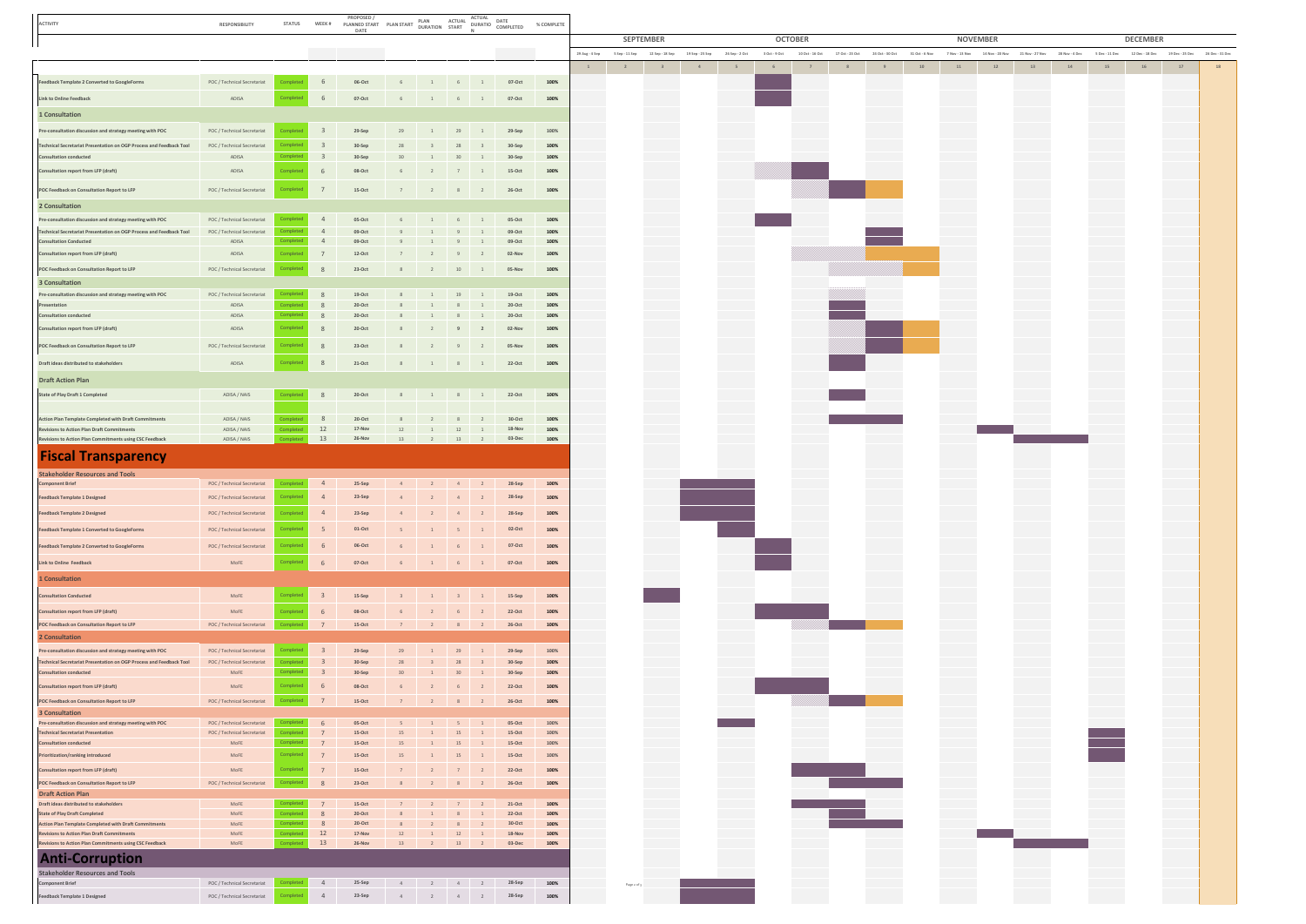| ACTIVITY                                                                                                  | RESPONSIBILITY                       | <b>STATUS</b>    |                         | <b>PROPOSED</b><br><b>PROPOSED/</b> PLAN ACTUAL ACTUAL MEER DURATION THE PLAN TO PLAN TO DURATION START NO COMPLETED<br>DATE |                 |                                                                      |                                                             | ACTUAL                         |                                | % COMPLETE      |                |                                    |                 |                 |                |               |                 |                 |                 |                |                |    |                                 |                |                |                 |                 |                |  |  |  |
|-----------------------------------------------------------------------------------------------------------|--------------------------------------|------------------|-------------------------|------------------------------------------------------------------------------------------------------------------------------|-----------------|----------------------------------------------------------------------|-------------------------------------------------------------|--------------------------------|--------------------------------|-----------------|----------------|------------------------------------|-----------------|-----------------|----------------|---------------|-----------------|-----------------|-----------------|----------------|----------------|----|---------------------------------|----------------|----------------|-----------------|-----------------|----------------|--|--|--|
|                                                                                                           |                                      |                  |                         |                                                                                                                              |                 |                                                                      |                                                             |                                |                                |                 |                | <b>SEPTEMBER</b><br><b>OCTOBER</b> |                 |                 |                |               |                 |                 | <b>NOVEMBER</b> |                |                |    |                                 |                |                |                 | <b>DECEMBER</b> |                |  |  |  |
|                                                                                                           |                                      |                  |                         | the control of the control of the                                                                                            |                 |                                                                      |                                                             |                                | <b>Contract Contract State</b> |                 | 29 Aug - 4 Sep | 5 Sep - 11 Sep                     | 12 Sep - 18 Sep | 19 Sep - 25 Sep | 26 Sep - 2 Oct | 3 Oct - 9 Oct | 10 Oct - 16 Oct | 17 Oct - 23 Oct | 24 Oct - 30 Oct | 31 Oct - 6 Nov | 7 Nov - 13 Nov |    | 14 Nov - 20 Nov 21 Nov - 27 Nov | 28 Nov - 4 Dec | S Dec - 11 Dec | 12 Dec - 18 Dec | 19 Dec - 25 Dec | 26 Dec - 31 De |  |  |  |
|                                                                                                           |                                      |                  |                         |                                                                                                                              |                 |                                                                      |                                                             |                                |                                |                 | $\mathbf{1}$   | 2                                  | 3 <sup>1</sup>  | $-4$            | $-5$           | 6             | $\overline{7}$  | 8 <sup>1</sup>  | 9               | 10             | $11$           | 12 | 13                              | $14\,$         | 15             | 16              | 17              | 18             |  |  |  |
| Feedback Template 2 Converted to GoogleForms                                                              | POC / Technical Secretariat          | Completed        |                         | $06 \cdot \mathsf{Oct}$                                                                                                      |                 | $\begin{array}{cccccccccccccc}6 & & & 1 & & & 6 & & 1 & \end{array}$ |                                                             |                                | 07-Oct                         | 100%            |                |                                    |                 |                 |                |               |                 |                 |                 |                |                |    |                                 |                |                |                 |                 |                |  |  |  |
| Link to Online Feedback                                                                                   | ADISA                                | Complete         | 6                       | $07-Oct$                                                                                                                     | $6 -$           |                                                                      | $1 \t\t 6 \t\t 1$                                           |                                | 07-Oct                         | 100%            |                |                                    |                 |                 |                |               |                 |                 |                 |                |                |    |                                 |                |                |                 |                 |                |  |  |  |
| 1 Consultation                                                                                            |                                      |                  |                         |                                                                                                                              |                 |                                                                      |                                                             |                                |                                |                 |                |                                    |                 |                 |                |               |                 |                 |                 |                |                |    |                                 |                |                |                 |                 |                |  |  |  |
| Pre-consultation discussion and strategy meeting with POC                                                 | POC / Technical Secretariat          |                  |                         | 29-Sep                                                                                                                       | 29              |                                                                      | 29                                                          | 1                              | 29-Sep                         | 100%            |                |                                    |                 |                 |                |               |                 |                 |                 |                |                |    |                                 |                |                |                 |                 |                |  |  |  |
| Technical Secretariat Presentation on OGP Process and Feedback Tool                                       | POC / Technical Secretariat          | :omplete         | $\overline{\mathbf{3}}$ | 30-Sep                                                                                                                       | 28              | $\overline{\mathbf{3}}$                                              | 28                                                          | $\overline{\mathbf{3}}$        | 30-Sep                         | 100%            |                |                                    |                 |                 |                |               |                 |                 |                 |                |                |    |                                 |                |                |                 |                 |                |  |  |  |
| Consultation conducted                                                                                    | ADISA                                | ompleted         | $\overline{\mathbf{3}}$ | 30-Sep                                                                                                                       | 30              | 1                                                                    | $30 \qquad 1$                                               |                                | 30-Sep                         | 100%            |                |                                    |                 |                 |                |               |                 |                 |                 |                |                |    |                                 |                |                |                 |                 |                |  |  |  |
| Consultation report from LFP (draft)                                                                      | ADISA                                | mpleter          | 6                       | 08-Oct                                                                                                                       | 6               | $\overline{2}$                                                       | $7\quad 1$                                                  |                                | $15-Oct$                       | 100%            |                |                                    |                 |                 |                |               |                 |                 |                 |                |                |    |                                 |                |                |                 |                 |                |  |  |  |
| POC Feedback on Consultation Report to LFP                                                                | POC / Technical Secretariat          | Completed        | 7                       | $15-Oct$                                                                                                                     |                 |                                                                      |                                                             |                                | 26-Oct                         | 100%            |                |                                    |                 |                 |                |               |                 |                 |                 |                |                |    |                                 |                |                |                 |                 |                |  |  |  |
| 2 Consultation                                                                                            |                                      |                  |                         |                                                                                                                              |                 |                                                                      |                                                             |                                |                                |                 |                |                                    |                 |                 |                |               |                 |                 |                 |                |                |    |                                 |                |                |                 |                 |                |  |  |  |
| Pre-consultation discussion and strategy meeting with POC                                                 | POC / Technical Secretariat          |                  |                         | 05-Oct                                                                                                                       | 6               | 1                                                                    | 6 1                                                         |                                | 05-Oct                         | 100%            |                |                                    |                 |                 |                |               |                 |                 |                 |                |                |    |                                 |                |                |                 |                 |                |  |  |  |
| Technical Secretariat Presentation on OGP Process and Feedback Tool                                       | POC / Technical Secretariat          |                  | $\overline{4}$          | 09-Oct                                                                                                                       | 9               |                                                                      | 9                                                           | $\mathbf{1}$                   | 09-Oct                         | 100%            |                |                                    |                 |                 |                |               |                 |                 |                 |                |                |    |                                 |                |                |                 |                 |                |  |  |  |
| <b>Consultation Conducted</b>                                                                             | ADISA                                | ompleted         | $\overline{4}$          | 09-Oct                                                                                                                       | 9               | 1                                                                    | 9                                                           | $1\,$                          | 09-Oct                         | 100%            |                |                                    |                 |                 |                |               |                 |                 |                 |                |                |    |                                 |                |                |                 |                 |                |  |  |  |
| Consultation report from LFP (draft)                                                                      | ADISA                                | ompleted         | 7                       | $12-Oct$                                                                                                                     | 7               | $\overline{2}$                                                       | 9                                                           | $\overline{\phantom{a}}$       | 02-Nov                         | 100%            |                |                                    |                 |                 |                |               |                 |                 |                 |                |                |    |                                 |                |                |                 |                 |                |  |  |  |
| POC Feedback on Consultation Report to LFP                                                                | POC / Technical Secretariat          | ompleted         | $\mathcal{R}$           | 23-Oct                                                                                                                       | 8               | $\overline{2}$                                                       | $10 \qquad 1$                                               |                                | 05-Nov                         | 100%            |                |                                    |                 |                 |                |               |                 |                 |                 |                |                |    |                                 |                |                |                 |                 |                |  |  |  |
| 3 Consultation                                                                                            |                                      |                  |                         |                                                                                                                              |                 |                                                                      |                                                             |                                |                                |                 |                |                                    |                 |                 |                |               |                 |                 |                 |                |                |    |                                 |                |                |                 |                 |                |  |  |  |
| Pre-consultation discussion and strategy meeting with POC<br>Presentation                                 | POC / Technical Secretariat<br>ADISA | :ompleted        | 8<br>8                  | $19-Oct$<br>$20 \cdot Oct$                                                                                                   | 8               | 8 1 19 1<br>1                                                        | 8                                                           | 1                              | 19-Oct<br>$20-Oct$             | 100%<br>100%    |                |                                    |                 |                 |                |               |                 |                 |                 |                |                |    |                                 |                |                |                 |                 |                |  |  |  |
| Consultation conducted                                                                                    | ADISA                                | <b>Completed</b> | 8                       | 20-Oct                                                                                                                       | $8 -$           | 1                                                                    | $8\quad1$                                                   |                                | 20-Oct                         | 100%            |                |                                    |                 |                 |                |               |                 |                 |                 |                |                |    |                                 |                |                |                 |                 |                |  |  |  |
| Consultation report from LFP (draft)                                                                      | ADISA                                | mplete           | 8                       | 20-Oct                                                                                                                       | 8               | $\overline{2}$                                                       | $9$ 2                                                       |                                | 02-Nov                         | 100%            |                |                                    |                 |                 |                |               |                 |                 |                 |                |                |    |                                 |                |                |                 |                 |                |  |  |  |
| POC Feedback on Consultation Report to LFP                                                                | POC / Technical Secretariat          | <b>Completed</b> | 8                       | 23-Oct                                                                                                                       | 8               | $\overline{2}$                                                       | $9 \qquad 2$                                                |                                | 05-Nov                         | 100%            |                |                                    |                 |                 |                |               |                 |                 |                 |                |                |    |                                 |                |                |                 |                 |                |  |  |  |
| Draft ideas distributed to stakeholders                                                                   | ADISA                                | ompleted         |                         | $21-Oct$                                                                                                                     | $\,$ 8 $\,$     |                                                                      | $\begin{array}{cccccccccc} & 1 & & & 8 & & & 1 \end{array}$ |                                | 22-Oct                         | $100\%$         |                |                                    |                 |                 |                |               |                 |                 |                 |                |                |    |                                 |                |                |                 |                 |                |  |  |  |
|                                                                                                           |                                      |                  |                         |                                                                                                                              |                 |                                                                      |                                                             |                                |                                |                 |                |                                    |                 |                 |                |               |                 |                 |                 |                |                |    |                                 |                |                |                 |                 |                |  |  |  |
| <b>Draft Action Plan</b>                                                                                  |                                      |                  |                         |                                                                                                                              |                 |                                                                      |                                                             |                                |                                |                 |                |                                    |                 |                 |                |               |                 |                 |                 |                |                |    |                                 |                |                |                 |                 |                |  |  |  |
| State of Play Draft 1 Completed                                                                           | ADISA / NAIS                         | Completed        | 8                       | $20-Oct$                                                                                                                     |                 | $\begin{array}{cccccccccccccc} 8 & & & 1 & & 8 & & 1 & \end{array}$  |                                                             |                                | 22-Oct                         | 100%            |                |                                    |                 |                 |                |               |                 |                 |                 |                |                |    |                                 |                |                |                 |                 |                |  |  |  |
| Action Plan Template Completed with Draft Commitments                                                     | ADISA / NAIS                         |                  | 8                       | $20-Oct$                                                                                                                     | $\,$ 8 $\,$     | $\overline{2}$                                                       | $8$ $2$                                                     |                                | $30-Oct$                       | 100%            |                |                                    |                 |                 |                |               |                 |                 |                 |                |                |    |                                 |                |                |                 |                 |                |  |  |  |
| <b>Revisions to Action Plan Draft Commitments</b>                                                         | ADISA / NAIS                         |                  | $12$                    | $17-Nov$                                                                                                                     | 12              | $\sim$ 1 $\sim$                                                      | $12$ $1$                                                    |                                | $18 - Nov$                     | 100%            |                |                                    |                 |                 |                |               |                 |                 |                 |                |                |    |                                 |                |                |                 |                 |                |  |  |  |
| Revisions to Action Plan Commitments using CSC Feedback                                                   | ADISA / NAIS                         |                  | 13                      | 26-Nov                                                                                                                       | 13              |                                                                      | $2 \t 13 \t 2$                                              |                                | 03-Dec                         | 100%            |                |                                    |                 |                 |                |               |                 |                 |                 |                |                |    |                                 |                |                |                 |                 |                |  |  |  |
| <b>Fiscal Transparency</b>                                                                                |                                      |                  |                         |                                                                                                                              |                 |                                                                      |                                                             |                                |                                |                 |                |                                    |                 |                 |                |               |                 |                 |                 |                |                |    |                                 |                |                |                 |                 |                |  |  |  |
| <b>Stakeholder Resources and Tools</b>                                                                    |                                      |                  |                         |                                                                                                                              |                 |                                                                      |                                                             |                                |                                |                 |                |                                    |                 |                 |                |               |                 |                 |                 |                |                |    |                                 |                |                |                 |                 |                |  |  |  |
| Component Brief                                                                                           | POC / Technical Secretariat          |                  | $\overline{a}$          | 25-Sep                                                                                                                       | 4               | $\overline{2}$                                                       | $4\qquad2$                                                  |                                | 28-Sep                         | 100%            |                |                                    |                 |                 |                |               |                 |                 |                 |                |                |    |                                 |                |                |                 |                 |                |  |  |  |
| Feedback Template 1 Designed                                                                              | POC / Technical Secretariat          |                  |                         | 23-Sep                                                                                                                       |                 |                                                                      | 4                                                           | $\overline{2}$                 | 28-Sep                         | 100%            |                |                                    |                 |                 |                |               |                 |                 |                 |                |                |    |                                 |                |                |                 |                 |                |  |  |  |
| Feedback Template 2 Designed                                                                              | POC / Technical Secretariat          |                  | $\Delta$                | 23-Sep                                                                                                                       |                 | $\overline{2}$                                                       | 4                                                           | $\overline{2}$                 | 28-Sep                         | 100%            |                |                                    |                 |                 |                |               |                 |                 |                 |                |                |    |                                 |                |                |                 |                 |                |  |  |  |
| Feedback Template 1 Converted to GoogleForms                                                              | POC / Technical Secretariat          | ompleted         | 5                       | $01-Oct$                                                                                                                     |                 |                                                                      | 5                                                           | 1                              | 02-Oct                         | 100%            |                |                                    |                 |                 |                |               |                 |                 |                 |                |                |    |                                 |                |                |                 |                 |                |  |  |  |
| Feedback Template 2 Converted to GoogleForms                                                              | POC / Technical Secretariat          | <b>Completer</b> | 6                       | 06-Oct                                                                                                                       | 6               | $\overline{1}$                                                       | $6 -$                                                       | $1\,$                          | 07-Oct                         | 100%            |                |                                    |                 |                 |                |               |                 |                 |                 |                |                |    |                                 |                |                |                 |                 |                |  |  |  |
| Link to Online Feedback                                                                                   | MoFE                                 | ompleted         | 6                       | $07-Oct$                                                                                                                     | $6 -$           |                                                                      | $\begin{array}{cccccccccc} 1 & & & 6 & & & 1 \end{array}$   |                                | 07-Oct                         | 100%            |                |                                    |                 |                 |                |               |                 |                 |                 |                |                |    |                                 |                |                |                 |                 |                |  |  |  |
| 1 Consultation                                                                                            |                                      |                  |                         |                                                                                                                              |                 |                                                                      |                                                             |                                |                                |                 |                |                                    |                 |                 |                |               |                 |                 |                 |                |                |    |                                 |                |                |                 |                 |                |  |  |  |
|                                                                                                           |                                      |                  |                         |                                                                                                                              |                 |                                                                      |                                                             |                                |                                |                 |                |                                    |                 |                 |                |               |                 |                 |                 |                |                |    |                                 |                |                |                 |                 |                |  |  |  |
| <b>Consultation Conducted</b>                                                                             | MoFE                                 |                  |                         | 15-Sep                                                                                                                       | $3 -$           | 1                                                                    | $3 \t 1$                                                    |                                | 15-Sep                         | 100%            |                |                                    |                 |                 |                |               |                 |                 |                 |                |                |    |                                 |                |                |                 |                 |                |  |  |  |
| <b>Consultation report from LFP (draft)</b>                                                               | MoFE                                 |                  | 6                       | 08-Oct                                                                                                                       | $\,$ 6 $\,$     | $\overline{2}$                                                       | $6 -$                                                       | $\overline{2}$                 | $22-Oct$                       | 100%            |                |                                    |                 |                 |                |               |                 |                 |                 |                |                |    |                                 |                |                |                 |                 |                |  |  |  |
| POC Feedback on Consultation Report to LFP<br>2 Consultation                                              | POC / Technical Secretariat          |                  | 7                       | 15-Oct                                                                                                                       |                 |                                                                      |                                                             |                                | 26-Oct                         | 100%            |                |                                    |                 |                 |                |               |                 |                 |                 |                |                |    |                                 |                |                |                 |                 |                |  |  |  |
| Pre-consultation discussion and strategy meeting with POC                                                 | POC / Technical Secretariat          | <b>Completed</b> | $\overline{\mathbf{3}}$ | 29-Sep                                                                                                                       | 29              | $\mathbf{1}$                                                         | 29                                                          | 1                              | 29-Sep                         | 100%            |                |                                    |                 |                 |                |               |                 |                 |                 |                |                |    |                                 |                |                |                 |                 |                |  |  |  |
| Technical Secretariat Presentation on OGP Process and Feedback Tool                                       | POC / Technical Secretariat          |                  | $\mathbf{3}$            | 30-Sep                                                                                                                       | 28              | $\overline{\mathbf{3}}$                                              | 28                                                          | $\overline{\mathbf{3}}$        | 30-Sep                         | 100%            |                |                                    |                 |                 |                |               |                 |                 |                 |                |                |    |                                 |                |                |                 |                 |                |  |  |  |
| Consultation conducted                                                                                    | $MoFE$                               | mpleted          | $\overline{\mathbf{3}}$ | $30-Sep$                                                                                                                     | 30 <sub>2</sub> | $\mathbf{1}$                                                         | 30                                                          | $1$ $\,$                       | 30-Sep                         | 100%            |                |                                    |                 |                 |                |               |                 |                 |                 |                |                |    |                                 |                |                |                 |                 |                |  |  |  |
| Consultation report from LFP (draft)                                                                      | MoFE                                 | ompleted         | 6                       | 08-Oct                                                                                                                       | 6               | $\overline{2}$                                                       | $6\overline{6}$                                             | $\overline{2}$                 | $22 \cdot Oct$                 | 100%            |                |                                    |                 |                 |                |               |                 |                 |                 |                |                |    |                                 |                |                |                 |                 |                |  |  |  |
| POC Feedback on Consultation Report to LFP                                                                | POC / Technical Secretariat          | Completed        | 7                       | $15-Oct$                                                                                                                     |                 |                                                                      |                                                             |                                | 26-Oct                         | 100%            |                |                                    |                 |                 |                |               |                 |                 |                 |                |                |    |                                 |                |                |                 |                 |                |  |  |  |
| 3 Consultation                                                                                            | POC / Technical Secretariat          |                  | 6                       |                                                                                                                              |                 |                                                                      |                                                             |                                |                                |                 |                |                                    |                 |                 |                |               |                 |                 |                 |                |                |    |                                 |                |                |                 |                 |                |  |  |  |
| Pre-consultation discussion and strategy meeting with POC<br><b>Technical Secretariat Presentation</b>    | POC / Technical Secretariat          |                  | 7                       | 05-Oct<br>15·Oct                                                                                                             | $5 -$<br>$15$   | 1<br>$\overline{1}$                                                  | $5 -$<br>$15\,$                                             | $\mathbf{1}$<br>$1$ $\,$       | $05-Oct$<br>$15-Oct$           | 100%<br>100%    |                |                                    |                 |                 |                |               |                 |                 |                 |                |                |    |                                 |                |                |                 |                 |                |  |  |  |
| <b>Consultation conducted</b>                                                                             | MoFE                                 | <b>Completed</b> | 7                       | 15·Oct                                                                                                                       | 15              | $\mathbf{1}$                                                         | 15                                                          | 1                              | $15-Oct$                       | 100%            |                |                                    |                 |                 |                |               |                 |                 |                 |                |                |    |                                 |                |                |                 |                 |                |  |  |  |
| Prioritization/ranking introduced                                                                         | MoFE                                 | ompleted         | $7\overline{ }$         | 15·Oct                                                                                                                       | 15              | 1                                                                    | $15$                                                        | $\mathbf{1}$                   | 15·Oct                         | 100%            |                |                                    |                 |                 |                |               |                 |                 |                 |                |                |    |                                 |                |                |                 |                 |                |  |  |  |
| Consultation report from LFP (draft)                                                                      | MoFE                                 |                  | $7\overline{ }$         | 15·Oct                                                                                                                       | $\overline{7}$  | $\overline{2}$                                                       | 7                                                           | $\overline{2}$                 | $22 \cdot Oct$                 | 100%            |                |                                    |                 |                 |                |               |                 |                 |                 |                |                |    |                                 |                |                |                 |                 |                |  |  |  |
| POC Feedback on Consultation Report to LFP<br><b>Draft Action Plan</b>                                    | POC / Technical Secretariat          | ompleter         | $\mathcal{R}$           | $23-Oct$                                                                                                                     | $8 -$           | $\overline{2}$                                                       | $8$ 2                                                       |                                | 26-Oct                         | 100%            |                |                                    |                 |                 |                |               |                 |                 |                 |                |                |    |                                 |                |                |                 |                 |                |  |  |  |
| Draft ideas distributed to stakeholders                                                                   | MoFE                                 | Completed        | 7                       | $15-Oct$                                                                                                                     |                 | $7 \t2 \t7$                                                          |                                                             | 2                              | 21-Oct                         | 100%            |                |                                    |                 |                 |                |               |                 |                 |                 |                |                |    |                                 |                |                |                 |                 |                |  |  |  |
| <b>State of Play Draft Completed</b>                                                                      | MoFE                                 |                  | 8                       | $20-Oct$                                                                                                                     | 8               | $\mathbf{1}$                                                         | 8                                                           | 1                              | 22-Oct                         | 100%            |                |                                    |                 |                 |                |               |                 |                 |                 |                |                |    |                                 |                |                |                 |                 |                |  |  |  |
| Action Plan Template Completed with Draft Commitment<br><b>Revisions to Action Plan Draft Commitments</b> | MoFE<br>MoFE                         |                  | 8<br>$12\,$             | $20\text{-}Oct$<br>$17-Nov$                                                                                                  | $8 -$<br>12     | 2<br>$1 \quad 1 \quad 12$                                            | 8                                                           | $\overline{2}$<br>$\mathbf{1}$ | $30-Oct$<br>$18 - Nov$         | $100\%$<br>100% |                |                                    |                 |                 |                |               |                 |                 |                 |                |                |    |                                 |                |                |                 |                 |                |  |  |  |
| Revisions to Action Plan Commitments using CSC Feedback                                                   | MoFE                                 |                  | 13                      | 26-Nov                                                                                                                       | 13              | $\overline{2}$                                                       | 13                                                          | $\overline{2}$                 | 03-Dec                         | 100%            |                |                                    |                 |                 |                |               |                 |                 |                 |                |                |    |                                 |                |                |                 |                 |                |  |  |  |
| <b>Anti-Corruption</b>                                                                                    |                                      |                  |                         |                                                                                                                              |                 |                                                                      |                                                             |                                |                                |                 |                |                                    |                 |                 |                |               |                 |                 |                 |                |                |    |                                 |                |                |                 |                 |                |  |  |  |
| <b>Stakeholder Resources and Tools</b>                                                                    |                                      |                  |                         |                                                                                                                              |                 |                                                                      |                                                             |                                |                                |                 |                |                                    |                 |                 |                |               |                 |                 |                 |                |                |    |                                 |                |                |                 |                 |                |  |  |  |
| Component Brief                                                                                           | POC / Technical Secretariat          | Completed        | $\sim$                  | 25-Sep                                                                                                                       |                 | $4$ $2$ $4$ $2$                                                      |                                                             |                                | 28-Sep                         | 100%            |                | Page 2 of 3                        |                 |                 |                |               |                 |                 |                 |                |                |    |                                 |                |                |                 |                 |                |  |  |  |
| Feedback Template 1 Designed                                                                              | POC / Technical Secretariat          |                  | $\overline{4}$          | 23-Sep                                                                                                                       | $4 -$           |                                                                      | $2 \qquad 4 \qquad 2$                                       |                                | 28-Sep                         | 100%            |                |                                    |                 |                 |                |               |                 |                 |                 |                |                |    |                                 |                |                |                 |                 |                |  |  |  |

 $\blacksquare$